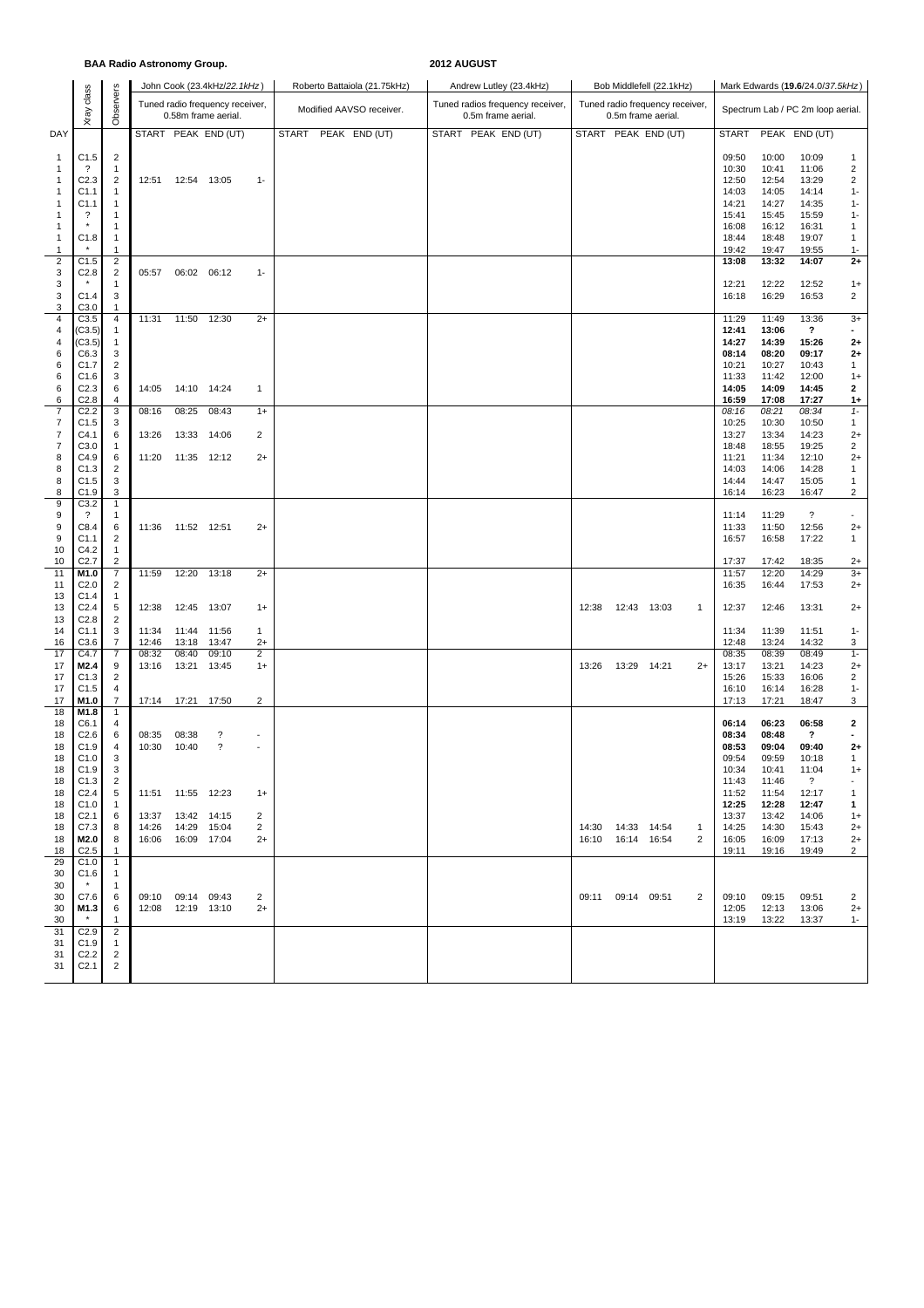|                                                         |                                                                  |                                                        | <b>BAA Radio Astronomy Group.</b> |                                     |                                                        |                                | 2012 AUGUST  |  |                              |  |  |                    |                                  |                                            |             |                                                       |                   |                                           |                                           |                                                    |                                                   |  |  |
|---------------------------------------------------------|------------------------------------------------------------------|--------------------------------------------------------|-----------------------------------|-------------------------------------|--------------------------------------------------------|--------------------------------|--------------|--|------------------------------|--|--|--------------------|----------------------------------|--------------------------------------------|-------------|-------------------------------------------------------|-------------------|-------------------------------------------|-------------------------------------------|----------------------------------------------------|---------------------------------------------------|--|--|
|                                                         |                                                                  |                                                        |                                   |                                     | John Cook (23.4kHz/22.1kHz)                            |                                |              |  | Roberto Battaiola (21.75kHz) |  |  |                    | Andrew Lutley (23.4kHz)          |                                            |             | Bob Middlefell (22.1kHz)                              |                   | Mark Edwards (19.6/24.0/37.5kHz)          |                                           |                                                    |                                                   |  |  |
|                                                         | class<br>Xray                                                    | Observers                                              |                                   |                                     | Tuned radio frequency receiver,<br>0.58m frame aerial. |                                |              |  | Modified AAVSO receiver.     |  |  | 0.5m frame aerial. | Tuned radios frequency receiver, |                                            |             | Tuned radio frequency receiver,<br>0.5m frame aerial. |                   |                                           |                                           | Spectrum Lab / PC 2m loop aerial.                  |                                                   |  |  |
| DAY                                                     |                                                                  |                                                        |                                   |                                     | START PEAK END (UT)                                    |                                | <b>START</b> |  | PEAK END (UT)                |  |  |                    | START PEAK END (UT)              |                                            |             | START PEAK END (UT)                                   |                   | <b>START</b>                              |                                           | PEAK END (UT)                                      |                                                   |  |  |
| 1<br>-1<br>-1                                           | C1.5<br>$\cdot$<br>C <sub>2.3</sub>                              | $\overline{2}$<br>1<br>$\overline{2}$                  | 12:51                             | 12:54 13:05                         |                                                        | $1 -$                          |              |  |                              |  |  |                    |                                  |                                            |             |                                                       |                   | 09:50<br>10:30<br>12:50                   | 10:00<br>10:41<br>12:54                   | 10:09<br>11:06<br>13:29                            | 1<br>$\overline{2}$<br>$\overline{2}$             |  |  |
| 1<br>-1<br>-1                                           | C1.1<br>C1.1<br>?                                                | 1<br>1<br>1                                            |                                   |                                     |                                                        |                                |              |  |                              |  |  |                    |                                  |                                            |             |                                                       |                   | 14:03<br>14:21<br>15:41                   | 14:05<br>14:27<br>15:45                   | 14:14<br>14:35<br>15:59                            | $1 -$<br>$1 -$<br>$1 -$                           |  |  |
| -1<br>1<br>1                                            | $\star$<br>C1.8                                                  | $\mathbf{1}$<br>$\mathbf{1}$<br>$\mathbf{1}$           |                                   |                                     |                                                        |                                |              |  |                              |  |  |                    |                                  |                                            |             |                                                       |                   | 16:08<br>18:44<br>19:42                   | 16:12<br>18:48<br>19:47                   | 16:31<br>19:07<br>19:55                            | 1<br>1<br>$1 -$                                   |  |  |
| $\overline{2}$<br>3<br>3                                | C1.5<br>C <sub>2.8</sub>                                         | $\overline{c}$<br>$\overline{2}$<br>1                  | 05:57                             | 06:02 06:12                         |                                                        | $1 -$                          |              |  |                              |  |  |                    |                                  |                                            |             |                                                       |                   | 13:08<br>12:21                            | 13:32<br>12:22                            | 14:07<br>12:52                                     | $2+$<br>$1+$                                      |  |  |
| 3<br>3<br>$\overline{4}$                                | C1.4<br>C3.0<br>C3.5                                             | 3<br>1<br>4                                            | 11:31                             | 11:50                               | 12:30                                                  | $2+$                           |              |  |                              |  |  |                    |                                  |                                            |             |                                                       |                   | 16:18<br>11:29                            | 16:29<br>11:49                            | 16:53<br>13:36                                     | $\overline{2}$<br>$3+$                            |  |  |
| $\overline{4}$<br>$\overline{4}$<br>6<br>6              | (C3.5)<br>(C3.5)<br>C6.3<br>C1.7                                 | $\mathbf{1}$<br>$\mathbf{1}$<br>3<br>2                 |                                   |                                     |                                                        |                                |              |  |                              |  |  |                    |                                  |                                            |             |                                                       |                   | 12:41<br>14:27<br>08:14<br>10:21          | 13:06<br>14:39<br>08:20<br>10:27          | $\overline{\mathbf{?}}$<br>15:26<br>09:17<br>10:43 | $\blacksquare$<br>$^{2+}$<br>$2+$<br>$\mathbf{1}$ |  |  |
| 6<br>6<br>6                                             | C1.6<br>C <sub>2.3</sub><br>C <sub>2.8</sub>                     | 3<br>6<br>4                                            | 14:05                             | 14:10 14:24                         |                                                        | $\mathbf{1}$                   |              |  |                              |  |  |                    |                                  |                                            |             |                                                       |                   | 11:33<br>14:05<br>16:59                   | 11:42<br>14:09<br>17:08                   | 12:00<br>14:45<br>17:27                            | $1+$<br>$\mathbf{2}$<br>$1+$                      |  |  |
| $\overline{7}$<br>7<br>$\overline{7}$<br>$\overline{7}$ | C <sub>2.2</sub><br>C1.5<br>C4.1<br>C3.0                         | 3<br>3<br>6<br>$\mathbf{1}$                            | 08:16<br>13:26                    | 08:25                               | 08:43<br>13:33 14:06                                   | $1+$<br>2                      |              |  |                              |  |  |                    |                                  |                                            |             |                                                       |                   | 08:16<br>10:25<br>13:27<br>18:48          | 08:21<br>10:30<br>13:34<br>18:55          | 08:34<br>10:50<br>14:23<br>19:25                   | $1 -$<br>$\mathbf{1}$<br>$2+$<br>$\overline{2}$   |  |  |
| 8<br>8<br>8<br>8                                        | C4.9<br>C1.3<br>C <sub>1.5</sub><br>C1.9                         | 6<br>2<br>3<br>3                                       | 11:20                             | 11:35 12:12                         |                                                        | $2+$                           |              |  |                              |  |  |                    |                                  |                                            |             |                                                       |                   | 11:21<br>14:03<br>14:44<br>16:14          | 11:34<br>14:06<br>14:47<br>16:23          | 12:10<br>14:28<br>15:05<br>16:47                   | $2+$<br>1<br>1<br>2                               |  |  |
| 9<br>9<br>9<br>9                                        | C3.2<br>$\cdot$<br>C8.4<br>C1.1                                  | $\mathbf{1}$<br>$\mathbf{1}$<br>6<br>$\overline{c}$    | 11:36                             | 11:52 12:51                         |                                                        | $2+$                           |              |  |                              |  |  |                    |                                  |                                            |             |                                                       |                   | 11:14<br>11:33<br>16:57                   | 11:29<br>11:50<br>16:58                   | $\overline{?}$<br>12:56<br>17:22                   | $\sim$<br>$2+$<br>1                               |  |  |
| 10<br>10                                                | C4.2<br>C <sub>2.7</sub>                                         | 1<br>$\overline{2}$                                    |                                   |                                     |                                                        | $2+$                           |              |  |                              |  |  |                    |                                  |                                            |             |                                                       |                   | 17:37                                     | 17:42                                     | 18:35                                              | $2+$                                              |  |  |
| 11<br>11<br>13                                          | M1.0<br>C <sub>2.0</sub><br>C1.4                                 | $\overline{7}$<br>2<br>$\mathbf{1}$                    | 11:59                             | 12:20                               | 13:18                                                  |                                |              |  |                              |  |  |                    |                                  |                                            |             |                                                       |                   | 11:57<br>16:35                            | 12:20<br>16:44                            | 14:29<br>17:53                                     | $3+$<br>$2+$                                      |  |  |
| 13<br>13<br>14                                          | C <sub>2.4</sub><br>C <sub>2.8</sub><br>C <sub>1.1</sub>         | 5<br>2<br>3                                            | 12:38<br>11:34                    | 12:45 13:07<br>11:44                | 11:56                                                  | $1+$<br>$\mathbf{1}$           |              |  |                              |  |  |                    |                                  | 12:38                                      | 12:43 13:03 |                                                       | $\mathbf{1}$      | 12:37<br>11:34                            | 12:46<br>11:39                            | 13:31<br>11:51                                     | $2+$<br>$1 -$                                     |  |  |
| 16<br>17<br>17<br>17                                    | C3.6<br>C4.7<br>M2.4<br>C1.3                                     | $\overline{7}$<br>7<br>9<br>$\overline{c}$             | 12:46<br>08:32<br>13:16           | 13:18<br>08:40<br>13:21             | 13:47<br>09:10<br>13:45                                | $2+$<br>$\overline{c}$<br>$1+$ |              |  |                              |  |  |                    |                                  | 13:26                                      | 13:29       | 14:21                                                 | $2+$              | 12:48<br>08:35<br>13:17<br>15:26          | 13:24<br>08:39<br>13:21<br>15:33          | 14:32<br>08:49<br>14:23<br>16:06                   | 3<br>$1 -$<br>$2+$<br>2                           |  |  |
| 17<br>17<br>18                                          | C1.5<br>M1.0<br>M1.8                                             | 4<br>$\overline{7}$<br>$\mathbf{1}$                    | 17:14                             | 17:21 17:50                         |                                                        | 2                              |              |  |                              |  |  |                    |                                  |                                            |             |                                                       |                   | 16:10<br>17:13                            | 16:14<br>17:21                            | 16:28<br>18:47                                     | $1 -$<br>3                                        |  |  |
| 18<br>18<br>18<br>18<br>18                              | C6.1<br>C <sub>2.6</sub><br>C1.9<br>C1.0<br>C1.9                 | 4<br>6<br>$\overline{4}$<br>3<br>3                     | 08:35<br>10:30                    | 08:38<br>10:40                      | ?<br>?                                                 |                                |              |  |                              |  |  |                    |                                  |                                            |             |                                                       |                   | 06:14<br>08:34<br>08:53<br>09:54<br>10:34 | 06:23<br>08:48<br>09:04<br>09:59<br>10:41 | 06:58<br>?<br>09:40<br>10:18<br>11:04              | $\mathbf{2}$<br>$^{2+}$<br>$\mathbf{1}$<br>$1+$   |  |  |
| 18<br>18<br>18<br>18                                    | C <sub>1.3</sub><br>C2.4<br>C <sub>1.0</sub><br>C <sub>2.1</sub> | 2<br>5<br>-1<br>6                                      | 13:37                             | 11:51  11:55  12:23<br>13:42 14:15  |                                                        | $1+$<br>2                      |              |  |                              |  |  |                    |                                  |                                            |             |                                                       |                   | 11:43<br>11:52<br>12:25<br>13:37          | 11:46<br>11:54<br>12:28<br>13:42          | $\overline{?}$<br>12:17<br>12:47<br>14:06          | $\blacksquare$<br>$\mathbf{1}$<br>1<br>$1+$       |  |  |
| 18<br>18<br>18<br>29                                    | C7.3<br>M2.0<br>C <sub>2.5</sub><br>C1.0                         | 8<br>8<br>-1<br>1                                      | 14:26                             | 14:29  15:04<br>16:06  16:09  17:04 |                                                        | 2<br>$2+$                      |              |  |                              |  |  |                    |                                  | 14:30  14:33  14:54<br>16:10  16:14  16:54 |             |                                                       | $\mathbf{1}$<br>2 | 14:25<br>16:05<br>19:11                   | 14:30<br>16:09<br>19:16                   | 15:43<br>17:13<br>19:49                            | $2+$<br>$2+$<br>$\overline{2}$                    |  |  |
| 30<br>30<br>30<br>30<br>30                              | C1.6<br>C7.6<br>M1.3                                             | $\mathbf{1}$<br>$\mathbf{1}$<br>6<br>6<br>$\mathbf{1}$ | 09:10                             | 09:14 09:43<br>12:08  12:19  13:10  |                                                        | 2<br>$2+$                      |              |  |                              |  |  |                    |                                  | 09:11 09:14 09:51                          |             |                                                       | 2                 | 09:10<br>12:05<br>13:19                   | 09:15<br>12:13<br>13:22                   | 09:51<br>13:06<br>13:37                            | $\overline{2}$<br>$2+$<br>$1 -$                   |  |  |
| 31<br>31<br>31<br>31                                    | C <sub>2.9</sub><br>C1.9<br>C <sub>2.2</sub><br>C <sub>2.1</sub> | 2<br>$\mathbf{1}$<br>2<br>2                            |                                   |                                     |                                                        |                                |              |  |                              |  |  |                    |                                  |                                            |             |                                                       |                   |                                           |                                           |                                                    |                                                   |  |  |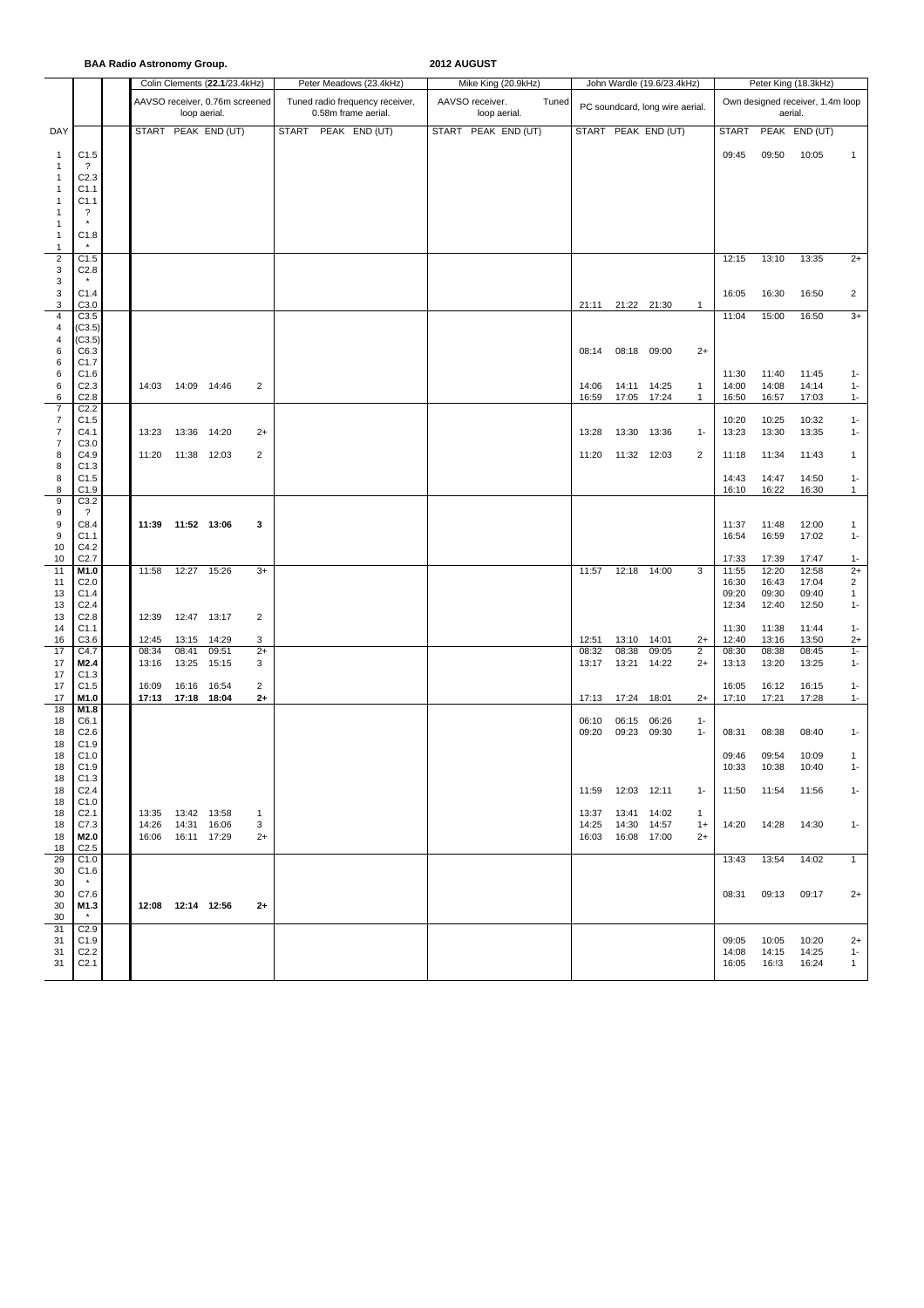## **BAA Radio Astronomy Group. 2012 AUGUST**

|                                  |                                      | Colin Clements (22.1/23.4kHz)              |              |                                |                     | Peter Meadows (23.4kHz)                                | Mike King (20.9kHz)                      |       |                                            | John Wardle (19.6/23.4kHz)      |                      | Peter King (18.3kHz)                        |                |                |                       |  |
|----------------------------------|--------------------------------------|--------------------------------------------|--------------|--------------------------------|---------------------|--------------------------------------------------------|------------------------------------------|-------|--------------------------------------------|---------------------------------|----------------------|---------------------------------------------|----------------|----------------|-----------------------|--|
|                                  |                                      |                                            | loop aerial. | AAVSO receiver, 0.76m screened |                     | Tuned radio frequency receiver,<br>0.58m frame aerial. | AAVSO receiver.<br>Tuned<br>loop aerial. |       |                                            | PC soundcard, long wire aerial. |                      | Own designed receiver, 1.4m loop<br>aerial. |                |                |                       |  |
| DAY                              |                                      |                                            |              | START PEAK END (UT)            |                     | START PEAK END (UT)                                    | START PEAK END (UT)                      |       |                                            | START PEAK END (UT)             |                      | START                                       |                | PEAK END (UT)  |                       |  |
| $\mathbf{1}$                     | C1.5                                 |                                            |              |                                |                     |                                                        |                                          |       |                                            |                                 |                      | 09:45                                       | 09:50          | 10:05          | $\mathbf{1}$          |  |
| $\mathbf{1}$                     | $\cdot$                              |                                            |              |                                |                     |                                                        |                                          |       |                                            |                                 |                      |                                             |                |                |                       |  |
| 1<br>1                           | C <sub>2.3</sub><br>C1.1             |                                            |              |                                |                     |                                                        |                                          |       |                                            |                                 |                      |                                             |                |                |                       |  |
| 1                                | C1.1                                 |                                            |              |                                |                     |                                                        |                                          |       |                                            |                                 |                      |                                             |                |                |                       |  |
| 1                                | $\overline{\cdot}$<br>$\star$        |                                            |              |                                |                     |                                                        |                                          |       |                                            |                                 |                      |                                             |                |                |                       |  |
| 1<br>$\mathbf{1}$                | C1.8                                 |                                            |              |                                |                     |                                                        |                                          |       |                                            |                                 |                      |                                             |                |                |                       |  |
| $\mathbf{1}$                     | $\star$                              |                                            |              |                                |                     |                                                        |                                          |       |                                            |                                 |                      |                                             |                |                |                       |  |
| $\mathbf 2$<br>3                 | C1.5<br>C <sub>2.8</sub>             |                                            |              |                                |                     |                                                        |                                          |       |                                            |                                 |                      | 12:15                                       | 13:10          | 13:35          | $2+$                  |  |
| 3                                |                                      |                                            |              |                                |                     |                                                        |                                          |       |                                            |                                 |                      |                                             |                |                |                       |  |
| 3<br>3                           | C1.4<br>C3.0                         |                                            |              |                                |                     |                                                        |                                          | 21:11 | 21:22 21:30                                |                                 | $\mathbf{1}$         | 16:05                                       | 16:30          | 16:50          | $\overline{2}$        |  |
| $\overline{4}$                   | C3.5                                 |                                            |              |                                |                     |                                                        |                                          |       |                                            |                                 |                      | 11:04                                       | 15:00          | 16:50          | $3+$                  |  |
| $\overline{4}$<br>$\overline{4}$ | (C3.5)<br>(C3.5)                     |                                            |              |                                |                     |                                                        |                                          |       |                                            |                                 |                      |                                             |                |                |                       |  |
| 6                                | C6.3                                 |                                            |              |                                |                     |                                                        |                                          | 08:14 |                                            | 08:18 09:00                     | $2+$                 |                                             |                |                |                       |  |
| 6<br>6                           | C1.7<br>C1.6                         |                                            |              |                                |                     |                                                        |                                          |       |                                            |                                 |                      | 11:30                                       | 11:40          | 11:45          | $1 -$                 |  |
| 6                                | C <sub>2.3</sub>                     | 14:03                                      | 14:09 14:46  |                                | 2                   |                                                        |                                          | 14:06 |                                            | 14:11 14:25                     | $\mathbf{1}$         | 14:00                                       | 14:08          | 14:14          | $1 -$                 |  |
| 6                                | C <sub>2.8</sub>                     |                                            |              |                                |                     |                                                        |                                          | 16:59 |                                            | 17:05 17:24                     | $\mathbf{1}$         | 16:50                                       | 16:57          | 17:03          | $1 -$                 |  |
| $\overline{7}$<br>$\overline{7}$ | C <sub>2.2</sub><br>C1.5             |                                            |              |                                |                     |                                                        |                                          |       |                                            |                                 |                      | 10:20                                       | 10:25          | 10:32          | $1 -$                 |  |
| $\overline{7}$                   | C4.1                                 | 13:23                                      | 13:36        | 14:20                          | $2+$                |                                                        |                                          | 13:28 | 13:30                                      | 13:36                           | $1 -$                | 13:23                                       | 13:30          | 13:35          | $1 -$                 |  |
| $\overline{7}$<br>8              | C3.0<br>C4.9                         | 11:20                                      | 11:38        | 12:03                          | 2                   |                                                        |                                          | 11:20 | 11:32 12:03                                |                                 | 2                    | 11:18                                       | 11:34          | 11:43          | $\mathbf{1}$          |  |
| 8                                | C <sub>1.3</sub>                     |                                            |              |                                |                     |                                                        |                                          |       |                                            |                                 |                      |                                             |                |                |                       |  |
| 8<br>8                           | C1.5<br>C1.9                         |                                            |              |                                |                     |                                                        |                                          |       |                                            |                                 |                      | 14:43<br>16:10                              | 14:47<br>16:22 | 14:50<br>16:30 | $1 -$<br>$\mathbf{1}$ |  |
| 9                                | C3.2                                 |                                            |              |                                |                     |                                                        |                                          |       |                                            |                                 |                      |                                             |                |                |                       |  |
| 9<br>9                           | ?                                    | 11:39                                      |              |                                | 3                   |                                                        |                                          |       |                                            |                                 |                      |                                             |                |                |                       |  |
| 9                                | C8.4<br>C1.1                         |                                            | 11:52 13:06  |                                |                     |                                                        |                                          |       |                                            |                                 |                      | 11:37<br>16:54                              | 11:48<br>16:59 | 12:00<br>17:02 | $\mathbf{1}$<br>$1 -$ |  |
| 10                               | C4.2                                 |                                            |              |                                |                     |                                                        |                                          |       |                                            |                                 |                      |                                             |                |                |                       |  |
| 10<br>11                         | C <sub>2.7</sub><br>M1.0             | 11:58                                      | 12:27        | 15:26                          | $3+$                |                                                        |                                          | 11:57 | 12:18                                      | 14:00                           | 3                    | 17:33<br>11:55                              | 17:39<br>12:20 | 17:47<br>12:58 | $1 -$<br>$2+$         |  |
| 11                               | C <sub>2.0</sub>                     |                                            |              |                                |                     |                                                        |                                          |       |                                            |                                 |                      | 16:30                                       | 16:43          | 17:04          | $\overline{2}$        |  |
| 13<br>13                         | C1.4<br>C <sub>2.4</sub>             |                                            |              |                                |                     |                                                        |                                          |       |                                            |                                 |                      | 09:20<br>12:34                              | 09:30<br>12:40 | 09:40<br>12:50 | $\mathbf{1}$<br>$1 -$ |  |
| 13                               | C <sub>2.8</sub>                     | 12:39                                      | 12:47 13:17  |                                | 2                   |                                                        |                                          |       |                                            |                                 |                      |                                             |                |                |                       |  |
| 14<br>16                         | C <sub>1.1</sub><br>C3.6             | 12:45                                      | 13:15        | 14:29                          | 3                   |                                                        |                                          | 12:51 |                                            | 13:10 14:01                     | $2+$                 | 11:30<br>12:40                              | 11:38<br>13:16 | 11:44<br>13:50 | $1 -$<br>$2+$         |  |
| 17                               | C4.7                                 | 08:34                                      | 08:41        | 09:51                          | $2+$                |                                                        |                                          | 08:32 | 08:38                                      | 09:05                           | 2                    | 08:30                                       | 08:38          | 08:45          | $1 -$                 |  |
| 17<br>17                         | M2.4<br>C1.3                         | 13:16                                      | 13:25        | 15:15                          | 3                   |                                                        |                                          | 13:17 | 13:21                                      | 14:22                           | $2+$                 | 13:13                                       | 13:20          | 13:25          | $1 -$                 |  |
| 17                               | C <sub>1.5</sub>                     | 16:09                                      | 16:16 16:54  |                                | 2                   |                                                        |                                          |       |                                            |                                 |                      | 16:05                                       | 16:12          | 16:15          | $1 -$                 |  |
| 17<br>18                         | M1.0<br>M1.8                         | 17:13                                      | 17:18 18:04  |                                | $2+$                |                                                        |                                          | 17:13 | 17:24                                      | 18:01                           | $2+$                 | 17:10                                       | 17:21          | 17:28          | $1 -$                 |  |
| 18                               | C6.1                                 |                                            |              |                                |                     |                                                        |                                          | 06:10 | 06:15                                      | 06:26                           | $1 -$                |                                             |                |                |                       |  |
| 18<br>18                         | C <sub>2.6</sub><br>C1.9             |                                            |              |                                |                     |                                                        |                                          | 09:20 | 09:23                                      | 09:30                           | $1 -$                | 08:31                                       | 08:38          | 08:40          | $1 -$                 |  |
| 18                               | C1.0                                 |                                            |              |                                |                     |                                                        |                                          |       |                                            |                                 |                      | 09:46                                       | 09:54          | 10:09          | $\mathbf{1}$          |  |
| 18                               | C <sub>1.9</sub>                     |                                            |              |                                |                     |                                                        |                                          |       |                                            |                                 |                      | 10:33                                       | 10:38          | 10:40          |                       |  |
| 18<br>18                         | C1.3<br>C <sub>2.4</sub>             |                                            |              |                                |                     |                                                        |                                          |       | 11:59  12:03  12:11                        |                                 | $1 -$                | 11:50                                       | 11:54          | 11:56          | $1 -$                 |  |
| 18                               | C <sub>1.0</sub>                     |                                            |              |                                |                     |                                                        |                                          |       |                                            |                                 |                      |                                             |                |                |                       |  |
| 18<br>18                         | C <sub>2.1</sub><br>C7.3             | 13:35  13:42  13:58<br>14:26  14:31  16:06 |              |                                | $\overline{1}$<br>3 |                                                        |                                          |       | 13:37  13:41  14:02<br>14:25  14:30  14:57 |                                 | $\mathbf{1}$<br>$1+$ | 14:20                                       | 14:28          | 14:30          | $1 -$                 |  |
| 18                               | M2.0                                 | 16:06  16:11  17:29                        |              |                                | $2+$                |                                                        |                                          |       | 16:03  16:08  17:00                        |                                 | $2+$                 |                                             |                |                |                       |  |
| 18<br>29                         | C <sub>2.5</sub><br>C <sub>1.0</sub> |                                            |              |                                |                     |                                                        |                                          |       |                                            |                                 |                      | 13:43                                       | 13:54          | 14:02          | $\mathbf{1}$          |  |
| 30                               | C <sub>1.6</sub>                     |                                            |              |                                |                     |                                                        |                                          |       |                                            |                                 |                      |                                             |                |                |                       |  |
| 30<br>30                         | $\star$<br>C7.6                      |                                            |              |                                |                     |                                                        |                                          |       |                                            |                                 |                      | 08:31                                       | 09:13          | 09:17          | $2+$                  |  |
| 30                               | M1.3                                 | 12:08  12:14  12:56                        |              |                                | $2+$                |                                                        |                                          |       |                                            |                                 |                      |                                             |                |                |                       |  |
| 30<br>31                         | $\star$<br>C <sub>2.9</sub>          |                                            |              |                                |                     |                                                        |                                          |       |                                            |                                 |                      |                                             |                |                |                       |  |
| 31                               | C1.9                                 |                                            |              |                                |                     |                                                        |                                          |       |                                            |                                 |                      | 09:05                                       | 10:05          | 10:20          | $2+$                  |  |
| 31<br>31                         | C <sub>2.2</sub><br>C <sub>2.1</sub> |                                            |              |                                |                     |                                                        |                                          |       |                                            |                                 |                      | 14:08<br>16:05                              | 14:15<br>16:!3 | 14:25<br>16:24 | $1 -$<br>$\mathbf{1}$ |  |
|                                  |                                      |                                            |              |                                |                     |                                                        |                                          |       |                                            |                                 |                      |                                             |                |                |                       |  |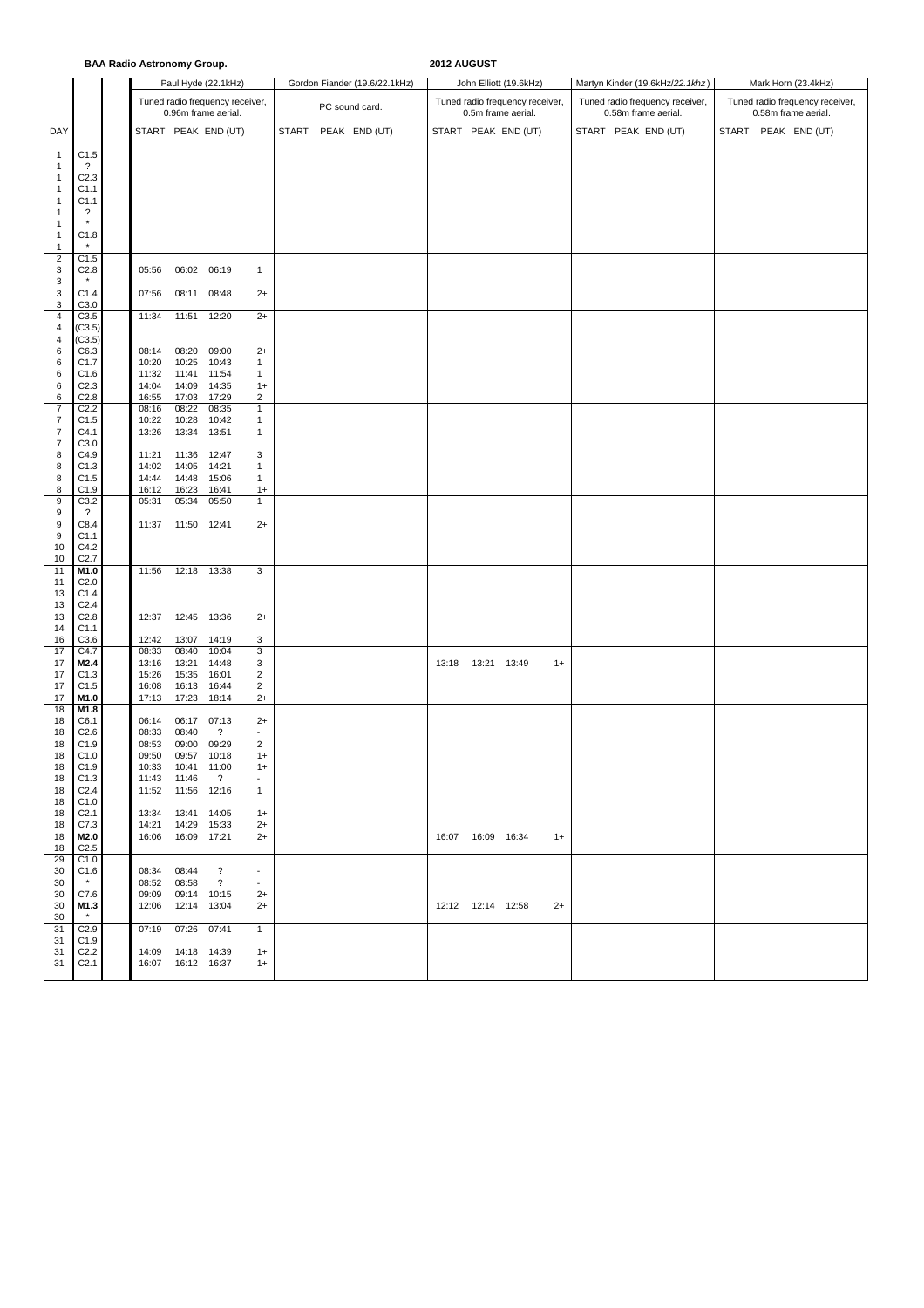**BAA Radio Astronomy Group. 2012 AUGUST**

|                                  |                                      |                |                     | Paul Hyde (22.1kHz)             |                          |              | Gordon Fiander (19.6/22.1kHz) |                     | John Elliott (19.6kHz)          | Martyn Kinder (19.6kHz/22.1khz) | Mark Horn (23.4kHz)             |                     |  |  |  |
|----------------------------------|--------------------------------------|----------------|---------------------|---------------------------------|--------------------------|--------------|-------------------------------|---------------------|---------------------------------|---------------------------------|---------------------------------|---------------------|--|--|--|
|                                  |                                      |                |                     | Tuned radio frequency receiver, |                          |              | PC sound card.                |                     | Tuned radio frequency receiver, | Tuned radio frequency receiver, | Tuned radio frequency receiver, |                     |  |  |  |
|                                  |                                      |                |                     | 0.96m frame aerial.             |                          |              |                               | 0.5m frame aerial.  |                                 | 0.58m frame aerial.             |                                 | 0.58m frame aerial. |  |  |  |
| DAY                              |                                      |                |                     | START PEAK END (UT)             |                          | <b>START</b> | PEAK END (UT)                 |                     | START PEAK END (UT)             | START PEAK END (UT)             |                                 | START PEAK END (UT) |  |  |  |
| $\mathbf{1}$                     | C1.5                                 |                |                     |                                 |                          |              |                               |                     |                                 |                                 |                                 |                     |  |  |  |
| $\mathbf{1}$<br>1                | $\cdot$ ?                            |                |                     |                                 |                          |              |                               |                     |                                 |                                 |                                 |                     |  |  |  |
| 1                                | C <sub>2.3</sub><br>C <sub>1.1</sub> |                |                     |                                 |                          |              |                               |                     |                                 |                                 |                                 |                     |  |  |  |
| $\mathbf{1}$                     | C1.1                                 |                |                     |                                 |                          |              |                               |                     |                                 |                                 |                                 |                     |  |  |  |
| $\mathbf{1}$<br>$\mathbf{1}$     | $\cdot$<br>$^\star$                  |                |                     |                                 |                          |              |                               |                     |                                 |                                 |                                 |                     |  |  |  |
| $\mathbf{1}$                     | C1.8                                 |                |                     |                                 |                          |              |                               |                     |                                 |                                 |                                 |                     |  |  |  |
| $\mathbf{1}$<br>$\overline{2}$   | C <sub>1.5</sub>                     |                |                     |                                 |                          |              |                               |                     |                                 |                                 |                                 |                     |  |  |  |
| 3                                | C <sub>2.8</sub>                     | 05:56          | 06:02 06:19         |                                 | 1                        |              |                               |                     |                                 |                                 |                                 |                     |  |  |  |
| 3                                | $\pmb{\ast}$                         |                |                     |                                 |                          |              |                               |                     |                                 |                                 |                                 |                     |  |  |  |
| 3<br>$\ensuremath{\mathsf{3}}$   | C1.4<br>C3.0                         | 07:56          | 08:11               | 08:48                           | $2+$                     |              |                               |                     |                                 |                                 |                                 |                     |  |  |  |
| $\pmb{4}$                        | C3.5                                 | 11:34          | 11:51               | 12:20                           | $2+$                     |              |                               |                     |                                 |                                 |                                 |                     |  |  |  |
| $\overline{a}$<br>$\overline{4}$ | (C3.5)<br>(C3.5)                     |                |                     |                                 |                          |              |                               |                     |                                 |                                 |                                 |                     |  |  |  |
| 6                                | C6.3                                 | 08:14          | 08:20               | 09:00                           | $2+$                     |              |                               |                     |                                 |                                 |                                 |                     |  |  |  |
| 6                                | C1.7                                 | 10:20          | 10:25               | 10:43                           | $\mathbf{1}$             |              |                               |                     |                                 |                                 |                                 |                     |  |  |  |
| 6                                | C1.6                                 | 11:32          | 11:41               | 11:54                           | $\mathbf{1}$             |              |                               |                     |                                 |                                 |                                 |                     |  |  |  |
| 6<br>6                           | C <sub>2.3</sub><br>C2.8             | 14:04<br>16:55 | 14:09<br>17:03      | 14:35<br>17:29                  | $1+$<br>2                |              |                               |                     |                                 |                                 |                                 |                     |  |  |  |
| $\boldsymbol{7}$                 | C <sub>2.2</sub>                     | 08:16          | 08:22               | 08:35                           | $\mathbf{1}$             |              |                               |                     |                                 |                                 |                                 |                     |  |  |  |
| $\overline{7}$                   | C1.5                                 | 10:22          | 10:28               | 10:42                           | $\mathbf{1}$             |              |                               |                     |                                 |                                 |                                 |                     |  |  |  |
| $\overline{7}$                   | C4.1                                 | 13:26          | 13:34               | 13:51                           | $\mathbf{1}$             |              |                               |                     |                                 |                                 |                                 |                     |  |  |  |
| $\overline{7}$<br>8              | C3.0<br>C4.9                         | 11:21          | 11:36 12:47         |                                 | 3                        |              |                               |                     |                                 |                                 |                                 |                     |  |  |  |
| 8                                | C1.3                                 | 14:02          | 14:05 14:21         |                                 | $\mathbf{1}$             |              |                               |                     |                                 |                                 |                                 |                     |  |  |  |
| 8                                | C1.5                                 | 14:44          | 14:48               | 15:06                           | $\mathbf{1}$             |              |                               |                     |                                 |                                 |                                 |                     |  |  |  |
| 8                                | C1.9                                 | 16:12          | 16:23               | 16:41                           | $1+$                     |              |                               |                     |                                 |                                 |                                 |                     |  |  |  |
| 9<br>9                           | C3.2<br>$\cdot$                      | 05:31          | 05:34               | 05:50                           | $\mathbf{1}$             |              |                               |                     |                                 |                                 |                                 |                     |  |  |  |
| 9                                | C8.4                                 | 11:37          | 11:50 12:41         |                                 | $2+$                     |              |                               |                     |                                 |                                 |                                 |                     |  |  |  |
| 9<br>10                          | C <sub>1.1</sub><br>C4.2             |                |                     |                                 |                          |              |                               |                     |                                 |                                 |                                 |                     |  |  |  |
| 10                               | C <sub>2.7</sub>                     |                |                     |                                 |                          |              |                               |                     |                                 |                                 |                                 |                     |  |  |  |
| 11                               | M1.0                                 | 11:56          | 12:18 13:38         |                                 | 3                        |              |                               |                     |                                 |                                 |                                 |                     |  |  |  |
| 11<br>13                         | C <sub>2.0</sub><br>C1.4             |                |                     |                                 |                          |              |                               |                     |                                 |                                 |                                 |                     |  |  |  |
| 13                               | C <sub>2.4</sub>                     |                |                     |                                 |                          |              |                               |                     |                                 |                                 |                                 |                     |  |  |  |
| 13                               | C2.8                                 | 12:37          | 12:45 13:36         |                                 | $2+$                     |              |                               |                     |                                 |                                 |                                 |                     |  |  |  |
| 14<br>16                         | C <sub>1.1</sub><br>C3.6             | 12:42          | 13:07               | 14:19                           | 3                        |              |                               |                     |                                 |                                 |                                 |                     |  |  |  |
| 17                               | C4.7                                 | 08:33          | 08:40               | 10:04                           | 3                        |              |                               |                     |                                 |                                 |                                 |                     |  |  |  |
| 17                               | M2.4                                 | 13:16          | 13:21               | 14:48                           | 3                        |              |                               | 13:18  13:21  13:49 | $1+$                            |                                 |                                 |                     |  |  |  |
| 17                               | C1.3                                 | 15:26          | 15:35               | 16:01                           | 2                        |              |                               |                     |                                 |                                 |                                 |                     |  |  |  |
| 17<br>17                         | C1.5<br>M1.0                         | 16:08<br>17:13 | 16:13<br>17:23      | 16:44<br>18:14                  | $\overline{c}$<br>$2+$   |              |                               |                     |                                 |                                 |                                 |                     |  |  |  |
| 18                               | M1.8                                 |                |                     |                                 |                          |              |                               |                     |                                 |                                 |                                 |                     |  |  |  |
| 18                               | C6.1                                 | 06:14          | 06:17               | 07:13                           | $2+$                     |              |                               |                     |                                 |                                 |                                 |                     |  |  |  |
| 18                               | C <sub>2.6</sub>                     | 08:33<br>08:53 | 08:40<br>09:00      | $\ddot{?}$<br>09:29             | $\sim$<br>2              |              |                               |                     |                                 |                                 |                                 |                     |  |  |  |
| 18<br>18                         | C1.9<br>C1.0                         | 09:50          | 09:57               | 10:18                           | $1+$                     |              |                               |                     |                                 |                                 |                                 |                     |  |  |  |
| 18                               | C1.9                                 | 10:33          | 10:41               | 11:00                           | $1+$                     |              |                               |                     |                                 |                                 |                                 |                     |  |  |  |
| 18                               | C1.3                                 |                | 11:43 11:46         | $\overline{\phantom{a}}$        | $\overline{\phantom{a}}$ |              |                               |                     |                                 |                                 |                                 |                     |  |  |  |
| 18<br>18                         | C <sub>2.4</sub><br>C1.0             |                | 11:52  11:56  12:16 |                                 | $\mathbf{1}$             |              |                               |                     |                                 |                                 |                                 |                     |  |  |  |
| 18                               | C <sub>2.1</sub>                     |                | 13:34  13:41  14:05 |                                 | $1+$                     |              |                               |                     |                                 |                                 |                                 |                     |  |  |  |
| 18                               | C7.3                                 |                | 14:21  14:29  15:33 |                                 | $2+$                     |              |                               |                     |                                 |                                 |                                 |                     |  |  |  |
| 18                               | M2.0                                 |                | 16:06  16:09  17:21 |                                 | $2+$                     |              |                               | 16:07  16:09  16:34 | $1+$                            |                                 |                                 |                     |  |  |  |
| 18<br>29                         | C <sub>2.5</sub><br>C1.0             |                |                     |                                 |                          |              |                               |                     |                                 |                                 |                                 |                     |  |  |  |
| 30                               | C1.6                                 | 08:34 08:44    |                     | $\overline{?}$                  | $\overline{\phantom{a}}$ |              |                               |                     |                                 |                                 |                                 |                     |  |  |  |
| 30                               | $^\star$                             | 08:52          | 08:58               | $\overline{?}$                  | $\blacksquare$           |              |                               |                     |                                 |                                 |                                 |                     |  |  |  |
| 30                               | C7.6                                 | 09:09          | 09:14 10:15         |                                 | $2+$                     |              |                               | 12:12  12:14  12:58 |                                 |                                 |                                 |                     |  |  |  |
| 30<br>30                         | M1.3<br>$\star$                      |                | 12:06  12:14  13:04 |                                 | $2+$                     |              |                               |                     | $2+$                            |                                 |                                 |                     |  |  |  |
| 31                               | C <sub>2.9</sub>                     | 07:19          | 07:26 07:41         |                                 | $\mathbf{1}$             |              |                               |                     |                                 |                                 |                                 |                     |  |  |  |
| 31<br>31                         | C1.9<br>C <sub>2.2</sub>             |                | 14:09  14:18  14:39 |                                 | $1+$                     |              |                               |                     |                                 |                                 |                                 |                     |  |  |  |
| 31                               | C <sub>2.1</sub>                     |                | 16:07  16:12  16:37 |                                 | $1+$                     |              |                               |                     |                                 |                                 |                                 |                     |  |  |  |
|                                  |                                      |                |                     |                                 |                          |              |                               |                     |                                 |                                 |                                 |                     |  |  |  |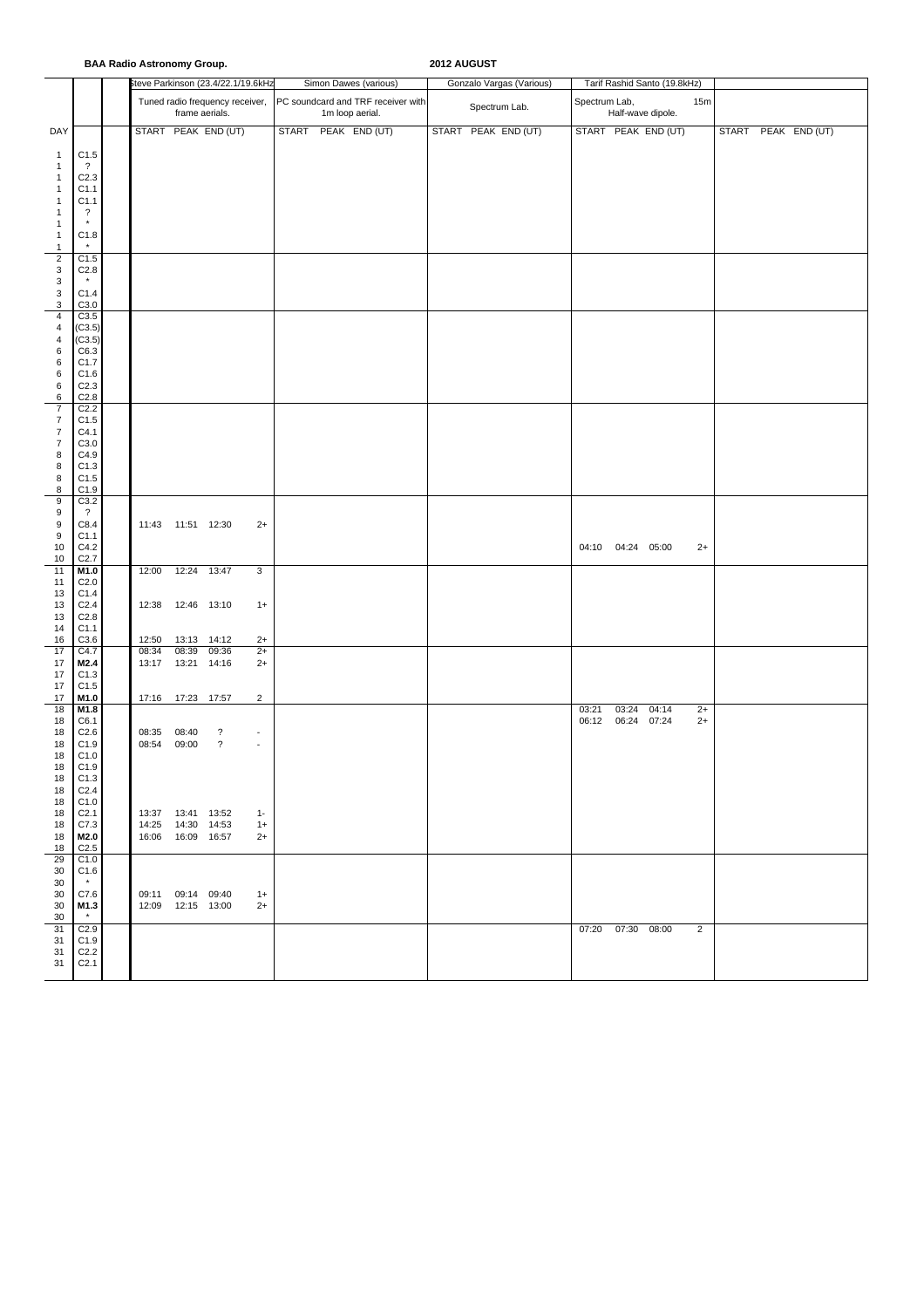## **BAA Radio Astronomy Group. 2012 AUGUST**

|                                             |                                      | <b>DAA NGUNA ASH VIIVIIIY OF VUP.</b> |                                            |                                    |                                      |                                                       |  | <b>AVIA AUGUUI</b> |                          |                   |                              |                |  |                     |  |
|---------------------------------------------|--------------------------------------|---------------------------------------|--------------------------------------------|------------------------------------|--------------------------------------|-------------------------------------------------------|--|--------------------|--------------------------|-------------------|------------------------------|----------------|--|---------------------|--|
|                                             |                                      |                                       |                                            | Steve Parkinson (23.4/22.1/19.6kHz |                                      | Simon Dawes (various)                                 |  |                    | Gonzalo Vargas (Various) |                   | Tarif Rashid Santo (19.8kHz) |                |  |                     |  |
|                                             |                                      |                                       | frame aerials.                             | Tuned radio frequency receiver,    |                                      | PC soundcard and TRF receiver with<br>1m loop aerial. |  | Spectrum Lab.      | Spectrum Lab,            | Half-wave dipole. | 15m                          |                |  |                     |  |
| DAY                                         |                                      |                                       |                                            | START PEAK END (UT)                |                                      | START PEAK END (UT)                                   |  |                    | START PEAK END (UT)      |                   | START PEAK END (UT)          |                |  | START PEAK END (UT) |  |
| $\mathbf{1}$                                | C1.5<br>$\overline{\cdot}$           |                                       |                                            |                                    |                                      |                                                       |  |                    |                          |                   |                              |                |  |                     |  |
| $\mathbf{1}$<br>$\mathbf{1}$                | C <sub>2.3</sub>                     |                                       |                                            |                                    |                                      |                                                       |  |                    |                          |                   |                              |                |  |                     |  |
| $\mathbf{1}$                                | C1.1                                 |                                       |                                            |                                    |                                      |                                                       |  |                    |                          |                   |                              |                |  |                     |  |
| $\mathbf{1}$<br>$\mathbf{1}$                | C1.1<br>$\ddot{\phantom{0}}$         |                                       |                                            |                                    |                                      |                                                       |  |                    |                          |                   |                              |                |  |                     |  |
| $\mathbf{1}$                                | $\star$                              |                                       |                                            |                                    |                                      |                                                       |  |                    |                          |                   |                              |                |  |                     |  |
| $\mathbf{1}$<br>$\mathbf{1}$                | C1.8<br>$\star$                      |                                       |                                            |                                    |                                      |                                                       |  |                    |                          |                   |                              |                |  |                     |  |
| $\overline{2}$<br>$\ensuremath{\mathsf{3}}$ | C1.5<br>C <sub>2.8</sub>             |                                       |                                            |                                    |                                      |                                                       |  |                    |                          |                   |                              |                |  |                     |  |
| $\mathsf 3$                                 | $\pmb{\ast}$                         |                                       |                                            |                                    |                                      |                                                       |  |                    |                          |                   |                              |                |  |                     |  |
| $\ensuremath{\mathsf{3}}$<br>$\mathsf 3$    | C1.4<br>C3.0                         |                                       |                                            |                                    |                                      |                                                       |  |                    |                          |                   |                              |                |  |                     |  |
| $\sqrt{4}$                                  | C3.5                                 |                                       |                                            |                                    |                                      |                                                       |  |                    |                          |                   |                              |                |  |                     |  |
| $\sqrt{4}$<br>$\overline{4}$                | (C3.5)<br>(C3.5)                     |                                       |                                            |                                    |                                      |                                                       |  |                    |                          |                   |                              |                |  |                     |  |
| 6                                           | C6.3                                 |                                       |                                            |                                    |                                      |                                                       |  |                    |                          |                   |                              |                |  |                     |  |
| 6<br>$\,6\,$                                | C1.7<br>C1.6                         |                                       |                                            |                                    |                                      |                                                       |  |                    |                          |                   |                              |                |  |                     |  |
| $\,6\,$                                     | C2.3                                 |                                       |                                            |                                    |                                      |                                                       |  |                    |                          |                   |                              |                |  |                     |  |
| 6<br>$\overline{7}$                         | C2.8<br>C2.2                         |                                       |                                            |                                    |                                      |                                                       |  |                    |                          |                   |                              |                |  |                     |  |
| $\overline{7}$                              | C1.5                                 |                                       |                                            |                                    |                                      |                                                       |  |                    |                          |                   |                              |                |  |                     |  |
| $\boldsymbol{7}$<br>$\boldsymbol{7}$        | C4.1                                 |                                       |                                            |                                    |                                      |                                                       |  |                    |                          |                   |                              |                |  |                     |  |
| 8                                           | C3.0<br>C4.9                         |                                       |                                            |                                    |                                      |                                                       |  |                    |                          |                   |                              |                |  |                     |  |
| 8                                           | C1.3                                 |                                       |                                            |                                    |                                      |                                                       |  |                    |                          |                   |                              |                |  |                     |  |
| $\bf8$<br>8                                 | C1.5<br>C1.9                         |                                       |                                            |                                    |                                      |                                                       |  |                    |                          |                   |                              |                |  |                     |  |
| $\boldsymbol{9}$                            | C3.2                                 |                                       |                                            |                                    |                                      |                                                       |  |                    |                          |                   |                              |                |  |                     |  |
| 9<br>9                                      | $\overline{\cdot}$<br>C8.4           |                                       | 11:43  11:51  12:30                        |                                    | $2+$                                 |                                                       |  |                    |                          |                   |                              |                |  |                     |  |
| 9                                           | C1.1                                 |                                       |                                            |                                    |                                      |                                                       |  |                    |                          |                   |                              |                |  |                     |  |
| 10<br>10                                    | C4.2<br>C <sub>2.7</sub>             |                                       |                                            |                                    |                                      |                                                       |  |                    |                          |                   | 04:10 04:24 05:00            | $2+$           |  |                     |  |
| 11                                          | M1.0                                 | 12:00                                 | 12:24 13:47                                |                                    | 3                                    |                                                       |  |                    |                          |                   |                              |                |  |                     |  |
| 11<br>13                                    | C <sub>2.0</sub><br>C1.4             |                                       |                                            |                                    |                                      |                                                       |  |                    |                          |                   |                              |                |  |                     |  |
| 13                                          | C <sub>2.4</sub>                     |                                       | 12:38  12:46  13:10                        |                                    | $1+$                                 |                                                       |  |                    |                          |                   |                              |                |  |                     |  |
| 13                                          | C <sub>2.8</sub>                     |                                       |                                            |                                    |                                      |                                                       |  |                    |                          |                   |                              |                |  |                     |  |
| 14<br>16                                    | C1.1<br>C3.6                         | 12:50                                 | 13:13 14:12                                |                                    | $2+$                                 |                                                       |  |                    |                          |                   |                              |                |  |                     |  |
| 17                                          | C4.7                                 | 08:34                                 | 08:39                                      | 09:36                              | $2+$                                 |                                                       |  |                    |                          |                   |                              |                |  |                     |  |
| 17<br>17                                    | M2.4<br>C1.3                         | 13:17                                 | 13:21 14:16                                |                                    | $2+$                                 |                                                       |  |                    |                          |                   |                              |                |  |                     |  |
| 17                                          | C1.5                                 |                                       |                                            |                                    |                                      |                                                       |  |                    |                          |                   |                              |                |  |                     |  |
| 17<br>$18$                                  | M1.0<br>M1.8                         |                                       | 17:16  17:23  17:57                        |                                    | $\overline{2}$                       |                                                       |  |                    |                          | 03:21             | 03:24<br>04:14               | $2+$           |  |                     |  |
| 18                                          | C6.1                                 |                                       |                                            |                                    |                                      |                                                       |  |                    |                          | 06:12             | 06:24 07:24                  | $2+$           |  |                     |  |
| 18<br>18                                    | C <sub>2.6</sub><br>C1.9             | 08:35<br>08:54                        | 08:40<br>09:00                             | ?<br>$\boldsymbol{\mathcal{P}}$    | $\overline{\phantom{a}}$<br>$\omega$ |                                                       |  |                    |                          |                   |                              |                |  |                     |  |
| 18                                          | C1.0                                 |                                       |                                            |                                    |                                      |                                                       |  |                    |                          |                   |                              |                |  |                     |  |
| 18                                          | C1.9                                 |                                       |                                            |                                    |                                      |                                                       |  |                    |                          |                   |                              |                |  |                     |  |
| 18<br>18                                    | C1.3<br>C <sub>2.4</sub>             |                                       |                                            |                                    |                                      |                                                       |  |                    |                          |                   |                              |                |  |                     |  |
| 18                                          | C1.0                                 |                                       |                                            |                                    |                                      |                                                       |  |                    |                          |                   |                              |                |  |                     |  |
| 18<br>18                                    | C <sub>2.1</sub><br>C7.3             |                                       | 13:37  13:41  13:52<br>14:25  14:30  14:53 |                                    | $1 -$<br>$1+$                        |                                                       |  |                    |                          |                   |                              |                |  |                     |  |
| 18                                          | M2.0                                 |                                       | 16:06  16:09  16:57                        |                                    | $2+$                                 |                                                       |  |                    |                          |                   |                              |                |  |                     |  |
| 18<br>29                                    | C <sub>2.5</sub><br>C1.0             |                                       |                                            |                                    |                                      |                                                       |  |                    |                          |                   |                              |                |  |                     |  |
| 30                                          | C1.6                                 |                                       |                                            |                                    |                                      |                                                       |  |                    |                          |                   |                              |                |  |                     |  |
| 30<br>30                                    | $\pmb{\star}$<br>C7.6                |                                       | 09:11 09:14 09:40                          |                                    | $1+$                                 |                                                       |  |                    |                          |                   |                              |                |  |                     |  |
| 30                                          | M1.3                                 |                                       | 12:09  12:15  13:00                        |                                    | $2+$                                 |                                                       |  |                    |                          |                   |                              |                |  |                     |  |
| 30<br>31                                    | $\star$<br>C <sub>2.9</sub>          |                                       |                                            |                                    |                                      |                                                       |  |                    |                          |                   | 07:20 07:30 08:00            | $\overline{2}$ |  |                     |  |
| 31                                          | C1.9                                 |                                       |                                            |                                    |                                      |                                                       |  |                    |                          |                   |                              |                |  |                     |  |
| 31<br>31                                    | C <sub>2.2</sub><br>C <sub>2.1</sub> |                                       |                                            |                                    |                                      |                                                       |  |                    |                          |                   |                              |                |  |                     |  |
|                                             |                                      |                                       |                                            |                                    |                                      |                                                       |  |                    |                          |                   |                              |                |  |                     |  |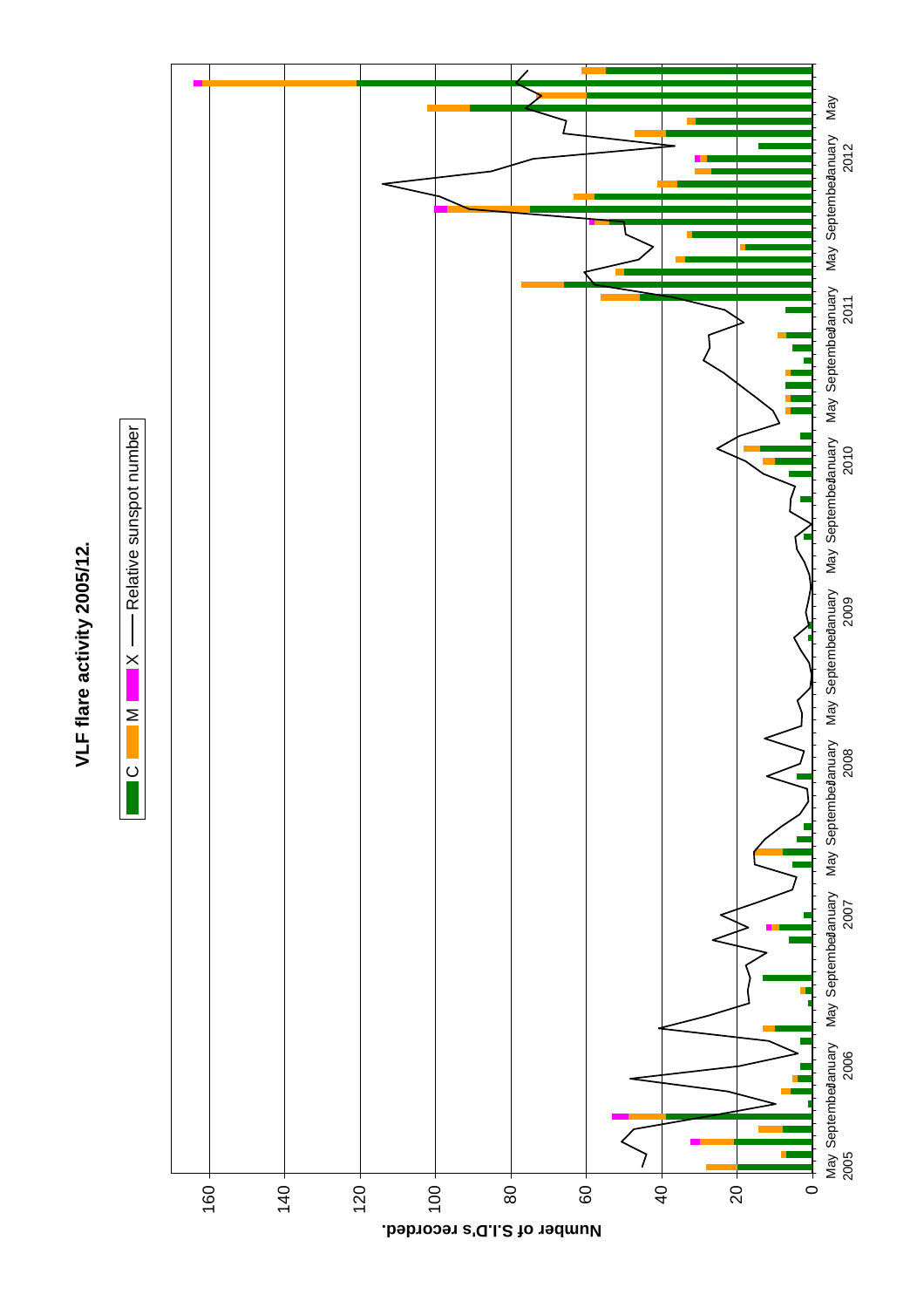

 $\overline{C}$ 

 $\mathsf{C} \qquad \blacksquare \mathsf{M} \qquad \blacksquare \mathsf{X} \longrightarrow \mathsf{Relative}$  sunspot number

 $\times$ 

 $\geq$ 

- Relative sunspot number



**Number of S.I.D's recorded.**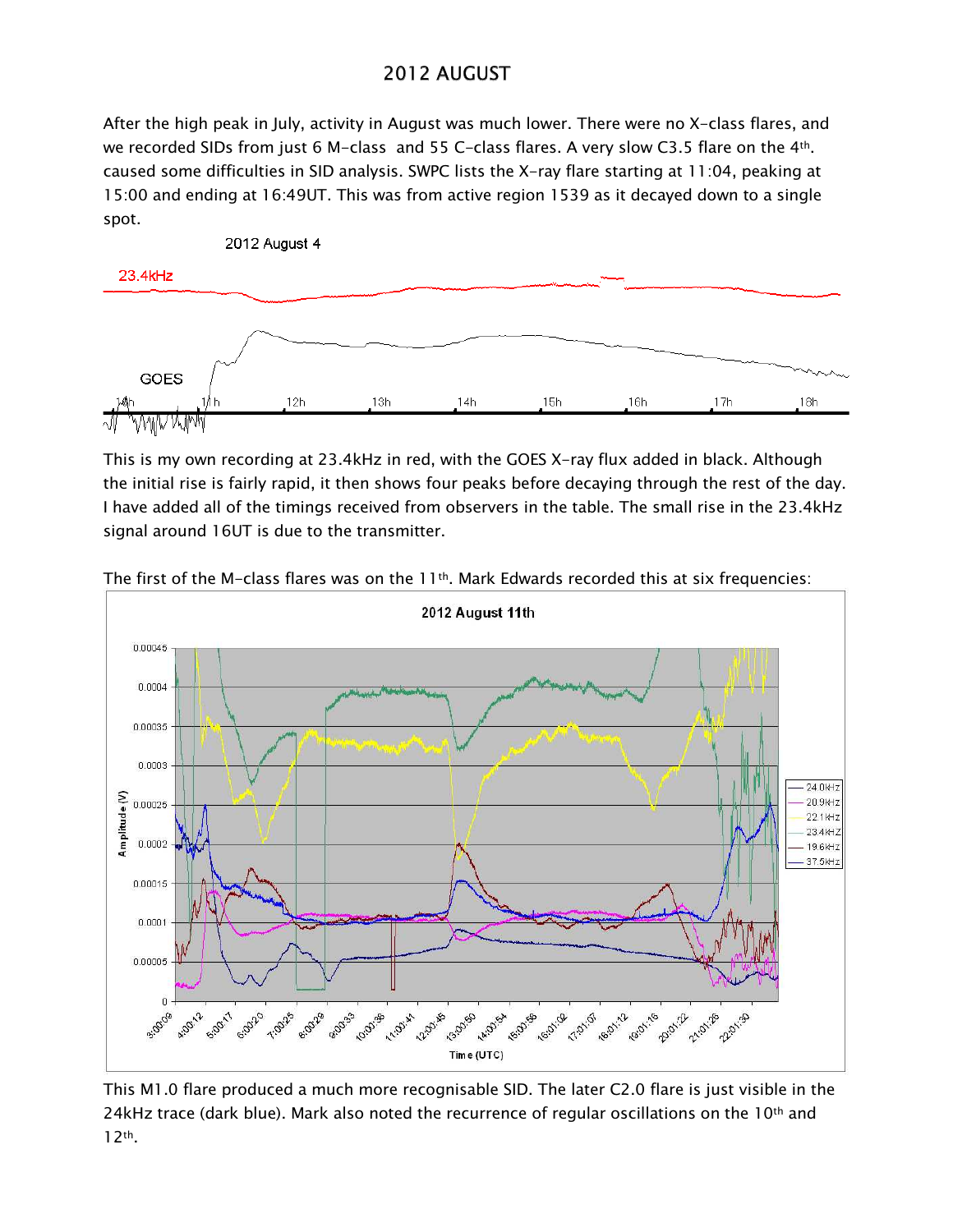## 2012 AUGUST

After the high peak in July, activity in August was much lower. There were no X-class flares, and we recorded SIDs from just 6 M-class and 55 C-class flares. A very slow C3.5 flare on the 4th. caused some difficulties in SID analysis. SWPC lists the X-ray flare starting at 11:04, peaking at 15:00 and ending at 16:49UT. This was from active region 1539 as it decayed down to a single spot.



This is my own recording at 23.4kHz in red, with the GOES X-ray flux added in black. Although the initial rise is fairly rapid, it then shows four peaks before decaying through the rest of the day. I have added all of the timings received from observers in the table. The small rise in the 23.4kHz signal around 16UT is due to the transmitter.



The first of the M-class flares was on the  $11<sup>th</sup>$ . Mark Edwards recorded this at six frequencies:

This M1.0 flare produced a much more recognisable SID. The later C2.0 flare is just visible in the 24kHz trace (dark blue). Mark also noted the recurrence of regular oscillations on the 10th and  $12<sup>th</sup>$ .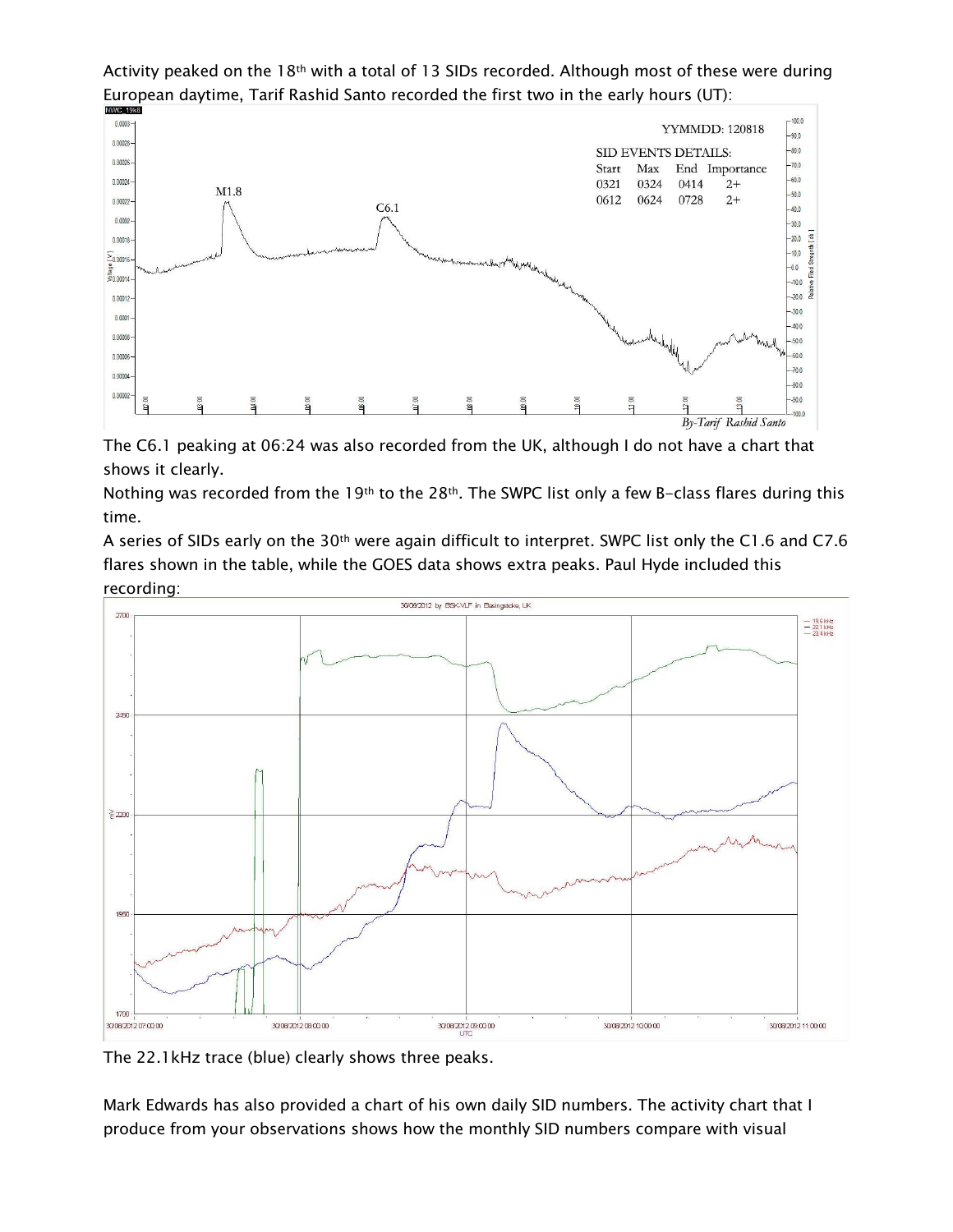Activity peaked on the 18<sup>th</sup> with a total of 13 SIDs recorded. Although most of these were during European daytime, Tarif Rashid Santo recorded the first two in the early hours (UT):



The C6.1 peaking at 06:24 was also recorded from the UK, although I do not have a chart that shows it clearly.

Nothing was recorded from the 19th to the 28th. The SWPC list only a few B-class flares during this time.

A series of SIDs early on the 30<sup>th</sup> were again difficult to interpret. SWPC list only the C1.6 and C7.6 flares shown in the table, while the GOES data shows extra peaks. Paul Hyde included this recording:



The 22.1kHz trace (blue) clearly shows three peaks.

Mark Edwards has also provided a chart of his own daily SID numbers. The activity chart that I produce from your observations shows how the monthly SID numbers compare with visual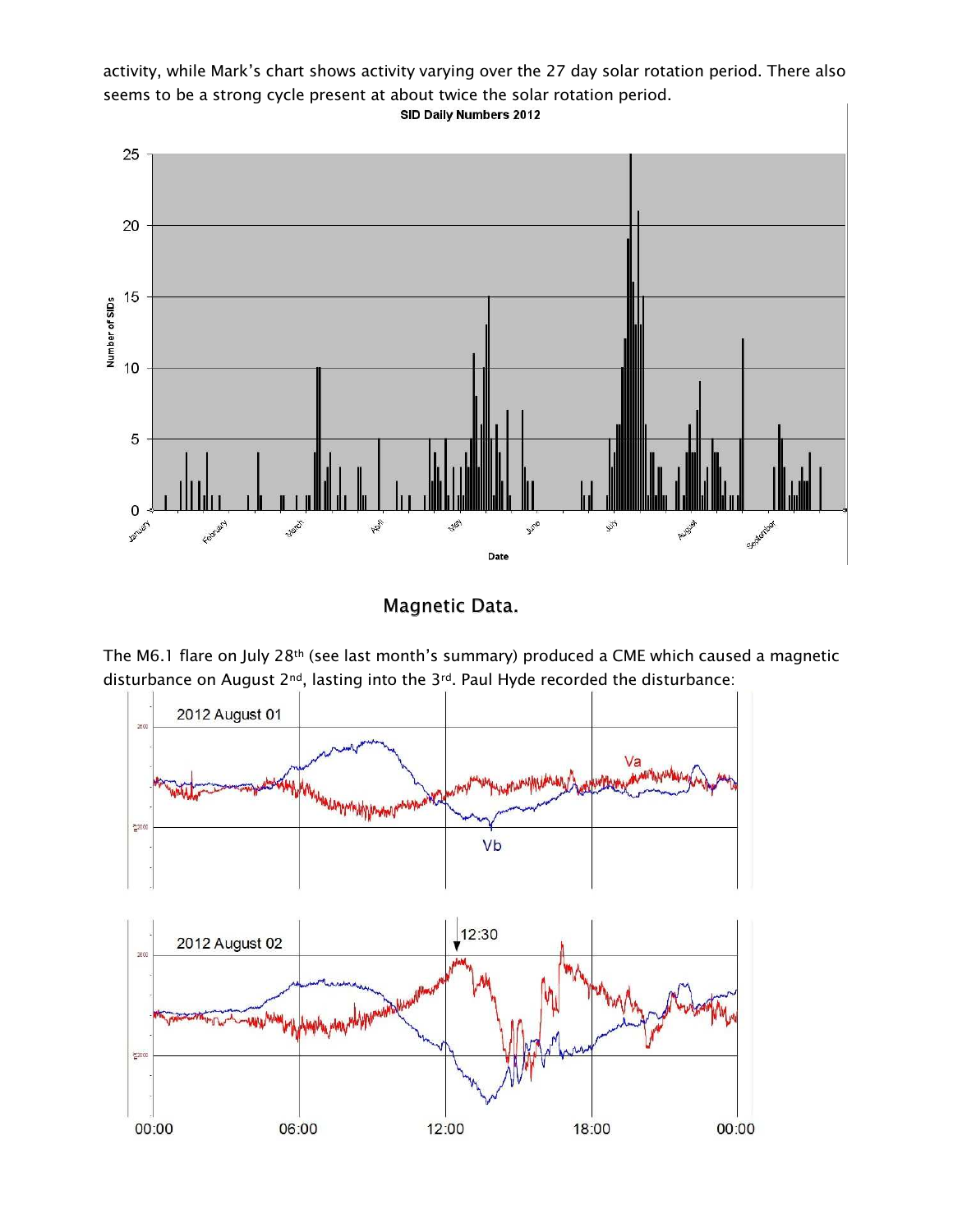activity, while Mark's chart shows activity varying over the 27 day solar rotation period. There also seems to be a strong cycle present at about twice the solar rotation period. SID Daily Numbers 2012



**Magnetic Data.** 

The M6.1 flare on July 28th (see last month's summary) produced a CME which caused a magnetic disturbance on August 2<sup>nd</sup>, lasting into the 3<sup>rd</sup>. Paul Hyde recorded the disturbance:

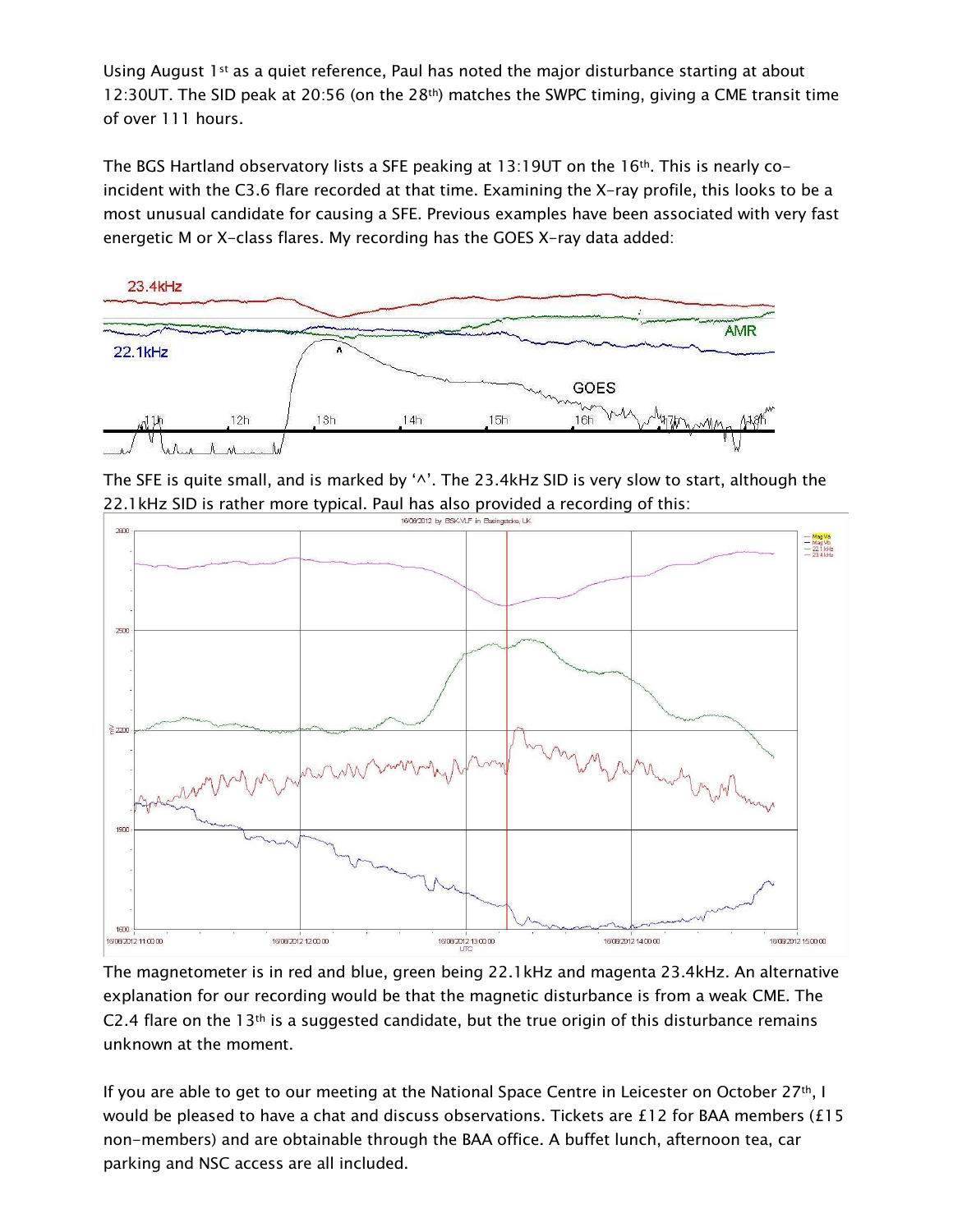Using August 1st as a quiet reference, Paul has noted the major disturbance starting at about 12:30UT. The SID peak at 20:56 (on the 28<sup>th</sup>) matches the SWPC timing, giving a CME transit time of over 111 hours.

The BGS Hartland observatory lists a SFE peaking at 13:190T on the 16<sup>th</sup>. This is nearly coincident with the C3.6 flare recorded at that time. Examining the X-ray profile, this looks to be a most unusual candidate for causing a SFE. Previous examples have been associated with very fast energetic M or X-class flares. My recording has the GOES X-ray data added:



The SFE is quite small, and is marked by '^'. The 23.4kHz SID is very slow to start, although the 22.1 kHz SID is rather more typical. Paul has also provided a recording of this:



The magnetometer is in red and blue, green being 22.1kHz and magenta 23.4kHz. An alternative explanation for our recording would be that the magnetic disturbance is from a weak CME. The C2.4 flare on the  $13<sup>th</sup>$  is a suggested candidate, but the true origin of this disturbance remains unknown at the moment.

If you are able to get to our meeting at the National Space Centre in Leicester on October 27th, I would be pleased to have a chat and discuss observations. Tickets are £12 for BAA members (£15 non-members) and are obtainable through the BAA office. A buffet lunch, afternoon tea, car parking and NSC access are all included.